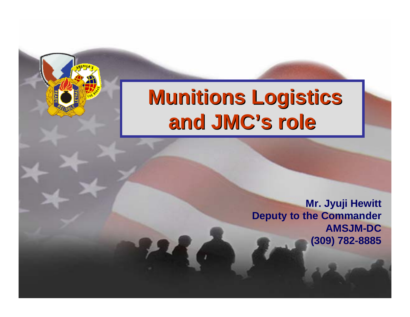### **Munitions Logistics Munitions Logistics and JMC 's role**

**Mr. Jyuji Hewitt Deputy to the Commander AMSJM-DC (309) 782-8885**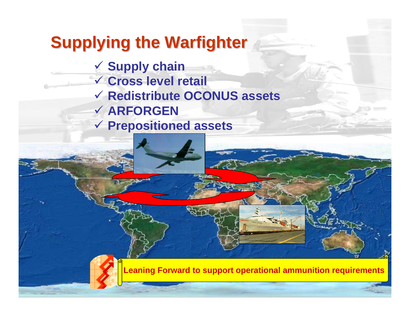# **Supplying the Warfighter**

- 9 **Supply chain** 9 **Cross level retail**
- 9 **Redistribute OCONUS assets**
- 9 **ARFORGEN**
- 9 **Prepositioned assets**



**Leaning Forward to support operational ammunition requirements**

2 of 8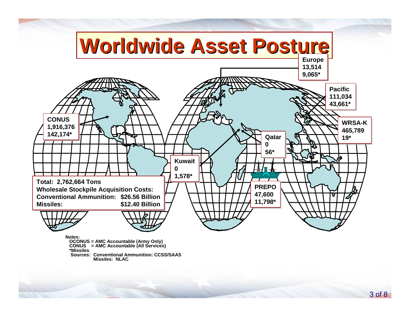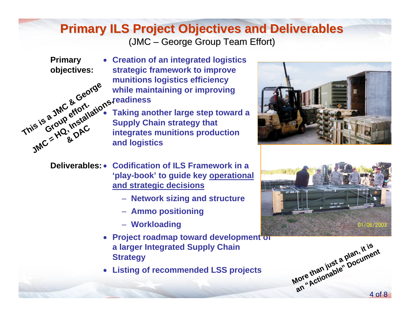#### **Primary ILS Project Objectives and Deliverables Primary ILS Project Objectives and Deliverables** (JMC – George Group Team Effort)

- **Primary objectives:**
- **Creation of an integrated logistics strategic framework to improve munitions logistics efficiency while maintaining or improving** 
	- **readiness**
	- **Taking another large step toward a Supply Chain strategy that integrates munitions production and logistics**



- **Deliverables: Codification of ILS Framework in a 'play-book' to guide key operational and strategic decisions**
	- **Network sizing and structure**
	- **Ammo positioning**
	- **Workloading**
	- **Project roadmap toward development of a larger Integrated Supply Chain Strategy**
	- **Listing of recommended LSS projects**





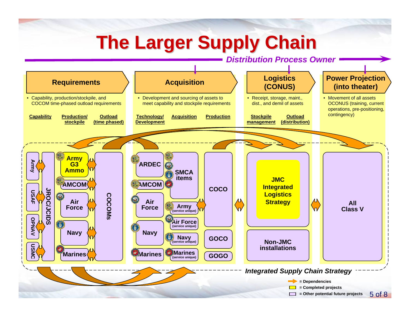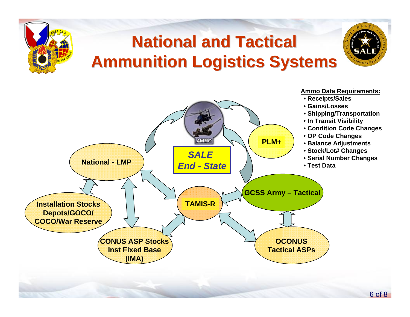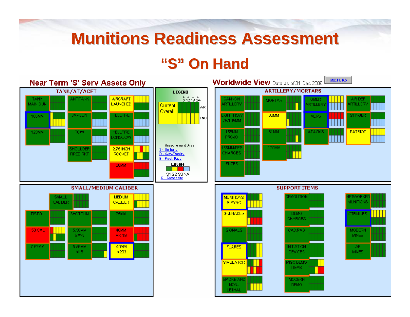## **Munitions Readiness Assessment Munitions Readiness Assessment**

### **"S" On Hand On Hand**